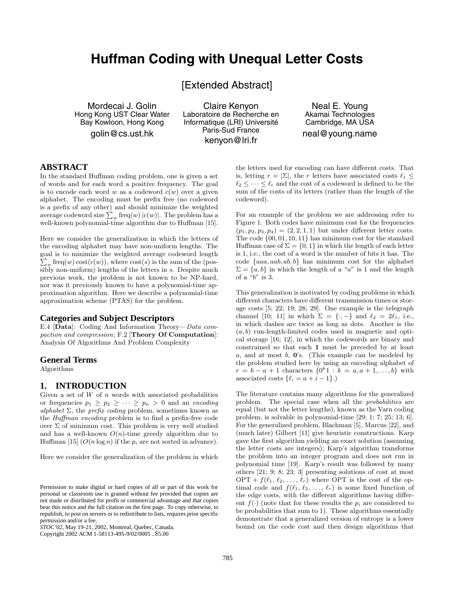# **Huffman Coding with Unequal Letter Costs**

[Extended Abstract]

Mordecai J. Golin Hong Kong UST Clear Water Bay Kowloon, Hong Kong

golin@cs.ust.hk

Claire Kenyon Laboratoire de Recherche en Informatique (LRI) Université Paris-Sud France kenyon@lri.fr

Neal E. Young Akamai Technologies Cambridge, MA USA

neal@young.name

# **ABSTRACT**

In the standard Huffman coding problem, one is given a set of words and for each word a positive frequency. The goal is to encode each word  $w$  as a codeword  $c(w)$  over a given alphabet. The encoding must be prefix free (no codeword is a prefix of any other) and should minimize the weighted average codeword size  $\sum_{w} \text{freq}(w) |c(w)|$ . The problem has a well-known polynomial-time algorithm due to Huffman [15].

Here we consider the generalization in which the letters of the encoding alphabet may have non-uniform lengths. The goal is to minimize the weighted average codeword length  $\sum_{w} \text{freq}(w) \text{cost}(c(w))$ , where  $\text{cost}(s)$  is the sum of the (possibly non-uniform) lengths of the letters in s. Despite much previous work, the problem is not known to be NP-hard, nor was it previously known to have a polynomial-time approximation algorithm. Here we describe a polynomial-time approximation scheme (PTAS) for the problem.

#### **Categories and Subject Descriptors**

E.4 [**Data**]: Coding And Information Theory—Data compaction and compression; F.2 [**Theory Of Computation**]: Analysis Of Algorithms And Problem Complexity

#### **General Terms**

Algorithms

# **1. INTRODUCTION**

Given a set of  $W$  of  $n$  words with associated probabilities or frequencies  $p_1 \geq p_2 \geq \cdots \geq p_n > 0$  and an encoding alphabet  $\Sigma$ , the prefix coding problem, sometimes known as the Huffman encoding problem is to find a prefix-free code over  $\Sigma$  of minimum cost. This problem is very well studied and has a well-known  $O(n)$ -time greedy algorithm due to Huffman [15]  $(O(n \log n)$  if the  $p_i$  are not sorted in advance).

Here we consider the generalization of the problem in which

Copyright 2002 ACM 1-58113-495-9/02/0005 ..\$5.00

the letters used for encoding can have different costs. That is, letting  $r = |\Sigma|$ , the r letters have associated costs  $\ell_1 \leq$  $\ell_2 \leq \cdots \leq \ell_r$  and the cost of a codeword is defined to be the sum of the costs of its letters (rather than the length of the codeword).

For an example of the problem we are addressing refer to Figure 1. Both codes have minimum cost for the frequencies  $(p_1, p_2, p_3, p_4) = (2, 2, 1, 1)$  but under different letter costs. The code {00, 01, 10, 11} has minimum cost for the standard Huffman case of  $\Sigma = \{0, 1\}$  in which the length of each letter is 1, i.e., the cost of a word is the number of bits it has. The code  ${aaa, aab, ab, b}$  has minimum cost for the alphabet  $\Sigma = \{a, b\}$  in which the length of a "a" is 1 and the length of a " $b$ " is 3.

This generalization is motivated by coding problems in which different characters have different transmission times or storage costs [5; 22; 19; 28; 29]. One example is the telegraph channel [10; 11] in which  $\Sigma = \{\cdot, -\}$  and  $\ell_2 = 2\ell_1$ , i.e., in which dashes are twice as long as dots. Another is the  $(a, b)$  run-length-limited codes used in magnetic and optical storage [16; 12], in which the codewords are binary and constrained so that each **1** must be preceded by at least a, and at most b, **0**'s. (This example can be modeled by the problem studied here by using an encoding alphabet of  $r = b - a + 1$  characters  $\{0^k 1 : k = a, a + 1, ..., b\}$  with associated costs  $\{\ell_i = a + \ell - 1\}$ .)

The literature contains many algorithms for the generalized problem. The special case when all the probabilities are equal (but not the letter lengths), known as the Varn coding problem, is solvable in polynomial-time [29; 1; 7; 25; 13; 6]. For the generalized problem, Blachman [5], Marcus [22], and (much later) Gilbert [11] give heuristic constructions. Karp gave the first algorithm yielding an exact solution (assuming the letter costs are integers); Karp's algorithm transforms the problem into an integer program and does not run in polynomial time [19]. Karp's result was followed by many others [21; 9; 8; 23; 3] presenting solutions of cost at most  $OPT + f(\ell_1, \ell_2, \ldots, \ell_r)$  where OPT is the cost of the optimal code and  $f(\ell_1, \ell_2, \ldots, \ell_r)$  is some fixed function of the edge costs, with the different algorithms having different  $f(\cdot)$  (note that for these results the  $p_i$  are considered to be probabilities that sum to 1). These algorithms essentially demonstrate that a generalized version of entropy is a lower bound on the code cost and then design algorithms that

Permission to make digital or hard copies of all or part of this work for personal or classroom use is granted without fee provided that copies are not made or distributed for profit or commercial advantage and that copies bear this notice and the full citation on the first page. To copy otherwise, to republish, to post on servers or to redistribute to lists, requires prior specific permission and/or a fee.

*STOC'02,* May 19-21, 2002, Montreal, Quebec, Canada.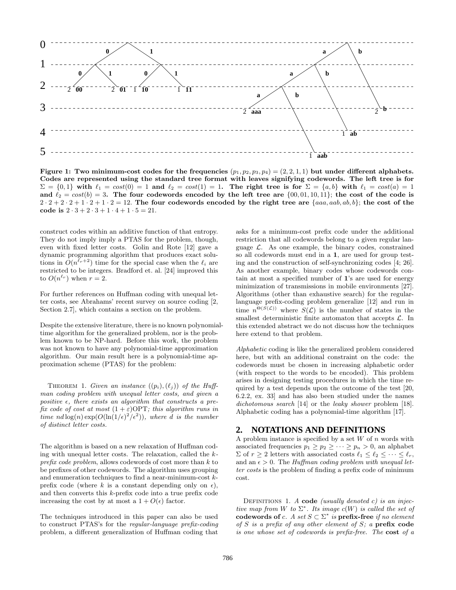

**Figure 1: Two minimum-cost codes for the frequencies**  $(p_1, p_2, p_3, p_4) = (2, 2, 1, 1)$  but under different alphabets. **Codes are represented using the standard tree format with leaves signifying codewords.The left tree is for**  $\Sigma = \{0,1\}$  with  $\ell_1 = cost(0) = 1$  and  $\ell_2 = cost(1) = 1$ . The right tree is for  $\Sigma = \{a,b\}$  with  $\ell_1 = cost(a) = 1$ and  $\ell_2 = cost(b) = 3$ . The four codewords encoded by the left tree are  $\{00, 01, 10, 11\}$ ; the cost of the code is  $2 \cdot 2 + 2 \cdot 2 + 1 \cdot 2 + 1 \cdot 2 = 12$ . The four codewords encoded by the right tree are {*aaa, aab, ab, b*}; the cost of the **code is**  $2 \cdot 3 + 2 \cdot 3 + 1 \cdot 4 + 1 \cdot 5 = 21$ .

construct codes within an additive function of that entropy. They do not imply imply a PTAS for the problem, though, even with fixed letter costs. Golin and Rote [12] gave a dynamic programming algorithm that produces exact solutions in  $\tilde{O}(n^{\tilde{\ell}_r+2})$  time for the special case when the  $\ell_i$  are restricted to be integers. Bradford et. al. [24] improved this to  $O(n^{\ell_r})$  when  $r = 2$ .

For further references on Huffman coding with unequal letter costs, see Abrahams' recent survey on source coding [2, Section 2.7], which contains a section on the problem.

Despite the extensive literature, there is no known polynomialtime algorithm for the generalized problem, nor is the problem known to be NP-hard. Before this work, the problem was not known to have any polynomial-time approximation algorithm. Our main result here is a polynomial-time approximation scheme (PTAS) for the problem:

THEOREM 1. Given an instance  $((p_i), (\ell_j))$  of the Huffman coding problem with unequal letter costs, and given a positive  $\epsilon$ , there exists an algorithm that constructs a prefix code of cost at most  $(1+\varepsilon)$ OPT; this algorithm runs in time nd  $log(n)$  exp $(O(\ln(1/\epsilon)^2/\epsilon^2))$ , where d is the number of distinct letter costs.

The algorithm is based on a new relaxation of Huffman coding with unequal letter costs. The relaxation, called the  $k$ prefix code problem, allows codewords of cost more than k to be prefixes of other codewords. The algorithm uses grouping and enumeration techniques to find a near-minimum-cost kprefix code (where k is a constant depending only on  $\epsilon$ ), and then converts this  $k$ -prefix code into a true prefix code increasing the cost by at most a  $1 + O(\epsilon)$  factor.

The techniques introduced in this paper can also be used to construct PTAS's for the regular-language prefix-coding problem, a different generalization of Huffman coding that asks for a minimum-cost prefix code under the additional restriction that all codewords belong to a given regular language  $\mathcal{L}$ . As one example, the binary codes, constrained so all codewords must end in a **1**, are used for group testing and the construction of self-synchronizing codes [4; 26]. As another example, binary codes whose codewords contain at most a specified number of **1**'s are used for energy minimization of transmissions in mobile environments [27]. Algorithms (other than exhaustive search) for the regularlanguage prefix-coding problem generalize [12] and run in time  $n^{\Theta(\hat{S}(\mathcal{L}))}$  where  $S(\mathcal{L})$  is the number of states in the smallest deterministic finite automaton that accepts  $\mathcal{L}$ . In this extended abstract we do not discuss how the techniques here extend to that problem.

Alphabetic coding is like the generalized problem considered here, but with an additional constraint on the code: the codewords must be chosen in increasing alphabetic order (with respect to the words to be encoded). This problem arises in designing testing procedures in which the time required by a test depends upon the outcome of the test [20, 6.2.2, ex. 33] and has also been studied under the names dichotomous search [14] or the leaky shower problem [18]. Alphabetic coding has a polynomial-time algorithm [17].

#### **2. NOTATIONS AND DEFINITIONS**

A problem instance is specified by a set  $W$  of  $n$  words with associated frequencies  $p_1 \geq p_2 \geq \cdots \geq p_n > 0$ , an alphabet  $\Sigma$  of  $r \geq 2$  letters with associated costs  $\ell_1 \leq \ell_2 \leq \cdots \leq \ell_r$ , and an  $\epsilon > 0$ . The Huffman coding problem with unequal letter costs is the problem of finding a prefix code of minimum cost.

DEFINITIONS 1. A **code** (usually denoted c) is an injective map from W to  $\Sigma^*$ . Its image  $c(W)$  is called the set of **codewords of** c. A set  $S \subset \Sigma^*$  is **prefix-free** if no element of S is a prefix of any other element of S; a **prefix code** is one whose set of codewords is prefix-free. The **cost** of a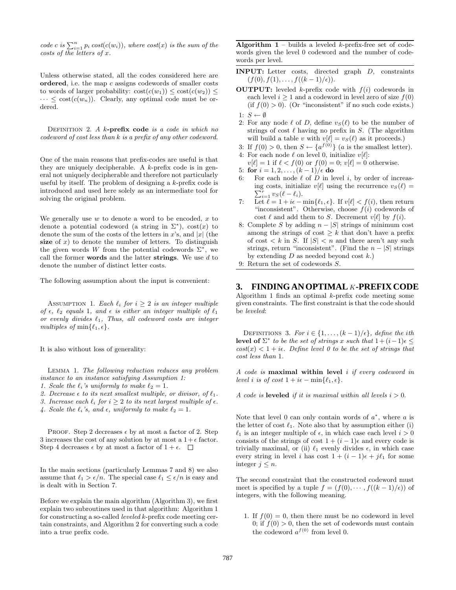code c is  $\sum_{i=1}^n p_i cost(c(w_i))$ , where cost(x) is the sum of the costs of the letters of x.

Unless otherwise stated, all the codes considered here are **ordered**, i.e. the map c assigns codewords of smaller costs to words of larger probability:  $\text{cost}(c(w_1)) \leq \text{cost}(c(w_2)) \leq$  $\cdots \leq \text{cost}(c(w_n))$ . Clearly, any optimal code must be ordered.

DEFINITION 2. A k-prefix code is a code in which no codeword of cost less than k is a prefix of any other codeword.

One of the main reasons that prefix-codes are useful is that they are uniquely decipherable. A  $k$ -prefix code is in general not uniquely decipherable and therefore not particularly useful by itself. The problem of designing a  $k$ -prefix code is introduced and used here solely as an intermediate tool for solving the original problem.

We generally use  $w$  to denote a word to be encoded,  $x$  to denote a potential codeword (a string in  $\Sigma^*$ ), cost $(x)$  to denote the sum of the costs of the letters in  $x$ 's, and |x| (the size of  $x$ ) to denote the number of letters. To distinguish the given words W from the potential codewords  $\Sigma^*$ , we call the former **words** and the latter **strings**. We use d to denote the number of distinct letter costs.

The following assumption about the input is convenient:

ASSUMPTION 1. Each  $\ell_i$  for  $i \geq 2$  is an integer multiple of  $\epsilon$ ,  $\ell_2$  equals 1, and  $\epsilon$  is either an integer multiple of  $\ell_1$ or evenly divides  $\ell_1$ , Thus, all codeword costs are integer multiples of  $\min\{\ell_1, \epsilon\}.$ 

It is also without loss of generality:

Lemma 1. The following reduction reduces any problem instance to an instance satisfying Assumption 1:

- 1. Scale the  $\ell_i$ 's uniformly to make  $\ell_2 = 1$ .
- 2. Decrease  $\epsilon$  to its next smallest multiple, or divisor, of  $\ell_1$ .
- 3. Increase each  $\ell_i$  for  $i \geq 2$  to its next largest multiple of  $\epsilon$ .
- 4. Scale the  $\ell_i$ 's, and  $\epsilon$ , uniformly to make  $\ell_2 = 1$ .

PROOF. Step 2 decreases  $\epsilon$  by at most a factor of 2. Step 3 increases the cost of any solution by at most a  $1+\epsilon$  factor. Step 4 decreases  $\epsilon$  by at most a factor of  $1 + \epsilon$ .  $\Box$ 

In the main sections (particularly Lemmas 7 and 8) we also assume that  $\ell_1 > \epsilon/n$ . The special case  $\ell_1 \leq \epsilon/n$  is easy and is dealt with in Section 7.

Before we explain the main algorithm (Algorithm 3), we first explain two subroutines used in that algorithm: Algorithm 1 for constructing a so-called *leveled*  $k$ -prefix code meeting certain constraints, and Algorithm 2 for converting such a code into a true prefix code.

**Algorithm 1** – builds a leveled  $k$ -prefix-free set of codewords given the level 0 codeword and the number of codewords per level.

- **INPUT:** Letter costs, directed graph D, constraints  $(f(0), f(1), \ldots, f((k-1)/\epsilon)).$
- **OUTPUT:** leveled  $k$ -prefix code with  $f(i)$  codewords in each level  $i \geq 1$  and a codeword in level zero of size  $f(0)$ (if  $f(0) > 0$ ). (Or "inconsistent" if no such code exists.) 1:  $S \leftarrow \emptyset$
- 2: For any node  $\ell$  of D, define  $v_S(\ell)$  to be the number of strings of cost  $\ell$  having no prefix in S. (The algorithm will build a table v with  $v[\ell] = v_S(\ell)$  as it proceeds.)
- 3: If  $f(0) > 0$ , then  $S \leftarrow \{a^{f(0)}\}$  (*a* is the smallest letter).
- 4: For each node  $\ell$  on level 0, initialize  $v[\ell]$ :
- $v[\ell] = 1$  if  $\ell < f(0)$  or  $f(0) = 0$ ;  $v[\ell] = 0$  otherwise. 5: **for**  $i = 1, 2, ..., (k-1)/\epsilon$  **do**
- 
- 6: For each node  $\ell$  of  $\overleftrightarrow{D}$  in level i, by order of increasing costs, initialize  $v[\ell]$  using the recurrence  $v_S(\ell) = \sum_{i=1}^r v_S(\ell - \ell_i)$ .  $\sum_{i=1}^r v_S(\ell-\ell_i).$
- 7:  $\overrightarrow{\text{Let}} \ell = 1 + i\epsilon \min\{\ell_1, \epsilon\}.$  If  $v[\ell] < f(i)$ , then return "inconsistent". Otherwise, choose  $f(i)$  codewords of cost  $\ell$  and add them to S. Decrement  $v[\ell]$  by  $f(i)$ .
- 8: Complete S by adding  $n |S|$  strings of minimum cost among the strings of cost  $\geq k$  that don't have a prefix of cost  $\langle k \text{ in } S$ . If  $|S| \langle n \text{ and there aren't any such}$ strings, return "inconsistent". (Find the  $n - |S|$  strings by extending  $D$  as needed beyond cost  $k$ .)
- 9: Return the set of codewords S.

### **3. FINDING AN OPTIMAL** K**-PREFIX CODE**

Algorithm 1 finds an optimal  $k$ -prefix code meeting some given constraints. The first constraint is that the code should be leveled:

DEFINITIONS 3. For  $i \in \{1, \ldots, (k-1)/\epsilon\}$ , define the ith **level of**  $\Sigma^*$  to be the set of strings x such that  $1+(i-1)\epsilon \leq$  $cost(x) < 1 + i\epsilon$ . Define level 0 to be the set of strings that cost less than 1.

Acode is **maximal within level** i if every codeword in level i is of cost  $1 + i\epsilon - \min\{\ell_1, \epsilon\}.$ 

A code is **leveled** if it is maximal within all levels  $i > 0$ .

Note that level 0 can only contain words of  $a^*$ , where a is the letter of cost  $\ell_1$ . Note also that by assumption either (i)  $\ell_1$  is an integer multiple of  $\epsilon$ , in which case each level  $i > 0$ consists of the strings of cost  $1 + (i - 1)\epsilon$  and every code is trivially maximal, or (ii)  $\ell_1$  evenly divides  $\epsilon$ , in which case every string in level i has cost  $1 + (i - 1)\epsilon + j\ell_1$  for some integer  $j \leq n$ .

The second constraint that the constructed codeword must meet is specified by a tuple  $f = (f(0), \cdots, f((k-1)/\epsilon))$  of integers, with the following meaning.

1. If  $f(0) = 0$ , then there must be no codeword in level 0; if  $f(0) > 0$ , then the set of codewords must contain the codeword  $a^{f(0)}$  from level 0.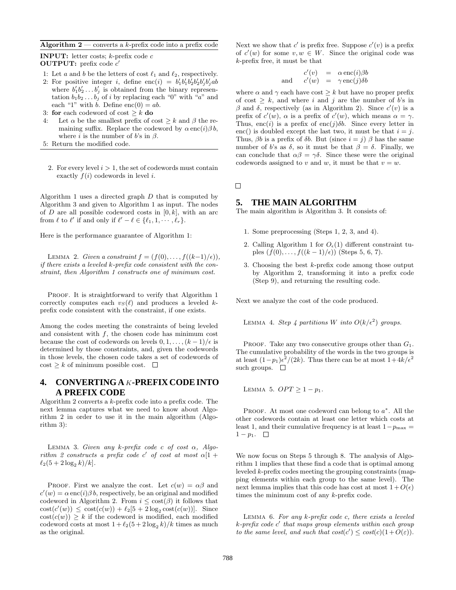#### **Algorithm 2** — converts a k-prefix code into a prefix code

**INPUT:** letter costs;  $k$ -prefix code  $c$ **OUTPUT:** prefix code  $c'$ 

- 1: Let a and b be the letters of cost  $\ell_1$  and  $\ell_2$ , respectively.
- 2: For positive integer *i*, define enc(*i*) =  $b'_1b'_1b'_2b'_2b'_jb'_jab$ where  $b'_1b'_2 \ldots b'_j$  is obtained from the binary representation  $b_1b_2 \ldots b_j$  of i by replacing each "0" with "a" and each "1" with b. Define enc(0) =  $ab$ .
- 3: **for** each codeword of cost  $\geq k$  **do**
- 4: Let  $\alpha$  be the smallest prefix of cost  $\geq k$  and  $\beta$  the remaining suffix. Replace the codeword by  $\alpha$  enc(i) $\beta b$ , where *i* is the number of b's in  $\beta$ .
- 5: Return the modified code.
	- 2. For every level  $i > 1$ , the set of codewords must contain exactly  $f(i)$  codewords in level *i*.

Algorithm 1 uses a directed graph  $D$  that is computed by Algorithm 3 and given to Algorithm 1 as input. The nodes of  $D$  are all possible codeword costs in  $[0, k]$ , with an arc from  $\ell$  to  $\ell'$  if and only if  $\ell' - \ell \in {\ell_1, 1, \cdots, \ell_r}$ .

Here is the performance guarantee of Algorithm 1:

LEMMA 2. Given a constraint  $f = (f(0), \ldots, f((k-1)/\epsilon)),$ if there exists a leveled k-prefix code consistent with the constraint, then Algorithm 1 constructs one of minimum cost.

PROOF. It is straightforward to verify that Algorithm 1 correctly computes each  $v_S(\ell)$  and produces a leveled kprefix code consistent with the constraint, if one exists.

Among the codes meeting the constraints of being leveled and consistent with  $f$ , the chosen code has minimum cost because the cost of codewords on levels  $0, 1, \ldots, (k-1)/\epsilon$  is determined by those constraints, and, given the codewords in those levels, the chosen code takes a set of codewords of  $\text{cost} \geq k$  of minimum possible cost.  $\Box$ 

# **4. CONVERTING A K-PREFIX CODE INTO A PREFIX CODE**

Algorithm 2 converts a  $k$ -prefix code into a prefix code. The next lemma captures what we need to know about Algorithm 2 in order to use it in the main algorithm (Algorithm 3):

LEMMA 3. Given any k-prefix code c of cost  $\alpha$ , Algorithm 2 constructs a prefix code c' of cost at most  $\alpha[1 +$  $\ell_2(5 + 2\log_2 k)/k$ .

PROOF. First we analyze the cost. Let  $c(w) = \alpha \beta$  and  $c'(w) = \alpha \operatorname{enc}(i)\beta b$ , respectively, be an original and modified codeword in Algorithm 2. From  $i \leq \text{cost}(\beta)$  it follows that  $\cot(c'(w)) \leq \cot(c(w)) + \ell_2[5 + 2\log_2 \cot(c(w))].$  Since  $cost(c(w)) \geq k$  if the codeword is modified, each modified codeword costs at most  $1 + \ell_2(5 + 2\log_2 k)/k$  times as much as the original.

Next we show that c' is prefix free. Suppose  $c'(v)$  is a prefix of  $c'(w)$  for some  $v, w \in W$ . Since the original code was  $k$ -prefix free, it must be that

$$
c'(v) = \alpha \operatorname{enc}(i)\beta b
$$
  
and 
$$
c'(w) = \gamma \operatorname{enc}(j)\delta b
$$

where  $\alpha$  and  $\gamma$  each have cost  $\geq k$  but have no proper prefix of cost  $\geq k$ , and where i and j are the number of b's in β and δ, respectively (as in Algorithm 2). Since  $c'(v)$  is a prefix of  $c'(w)$ ,  $\alpha$  is a prefix of  $c'(w)$ , which means  $\alpha = \gamma$ . Thus, enc(i) is a prefix of enc(j) $\delta b$ . Since every letter in enc() is doubled except the last two, it must be that  $i = j$ . Thus,  $\beta b$  is a prefix of  $\delta b$ . But (since  $i = j$ )  $\beta$  has the same number of b's as δ, so it must be that  $β = δ$ . Finally, we can conclude that  $\alpha\beta = \gamma\delta$ . Since these were the original codewords assigned to v and w, it must be that  $v = w$ .

 $\Box$ 

### **5. THE MAIN ALGORITHM**

The main algorithm is Algorithm 3. It consists of:

- 1. Some preprocessing (Steps 1, 2, 3, and 4).
- 2. Calling Algorithm 1 for  $O_{\epsilon}(1)$  different constraint tuples  $(f(0),...,f((k-1)/\epsilon))$  (Steps 5, 6, 7).
- 3. Choosing the best  $k$ -prefix code among those output by Algorithm 2, transforming it into a prefix code (Step 9), and returning the resulting code.

Next we analyze the cost of the code produced.

LEMMA 4. Step 4 partitions W into  $O(k/\epsilon^2)$  groups.

PROOF. Take any two consecutive groups other than  $G_1$ . The cumulative probability of the words in the two groups is at least  $(1-p_1)\epsilon^2/(2k)$ . Thus there can be at most  $1+4k/\epsilon^2$ such groups.  $\square$ 

LEMMA 5. 
$$
OPT \geq 1 - p_1
$$
.

PROOF. At most one codeword can belong to  $a^*$ . All the other codewords contain at least one letter which costs at least 1, and their cumulative frequency is at least  $1-p_{\text{max}} =$  $1-p_1$ .  $\Box$ 

We now focus on Steps 5 through 8. The analysis of Algorithm 1 implies that these find a code that is optimal among leveled  $k$ -prefix codes meeting the grouping constraints (mapping elements within each group to the same level). The next lemma implies that this code has cost at most  $1 + O(\epsilon)$ times the minimum cost of any  $k$ -prefix code.

LEMMA  $6.$  For any  $k$ -prefix code  $c$ , there exists a leveled  $k$ -prefix code  $c'$  that maps group elements within each group to the same level, and such that  $cost(c') \leq cost(c)(1+O(\varepsilon)).$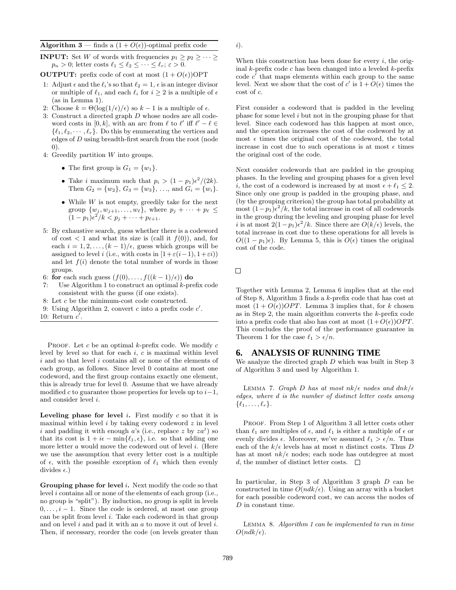#### **Algorithm 3** — finds a  $(1 + O(\epsilon))$ -optimal prefix code

- **INPUT:** Set W of words with frequencies  $p_1 \geq p_2 \geq \cdots \geq p_n$  $p_n > 0$ ; letter costs  $\ell_1 \leq \ell_2 \leq \cdots \leq \ell_r$ ;  $\varepsilon > 0$ .
- **OUTPUT:** prefix code of cost at most  $(1 + O(\epsilon))$ OPT
- 1: Adjust  $\epsilon$  and the  $\ell_i$ 's so that  $\ell_2 = 1$ ,  $\epsilon$  is an integer divisor or multiple of  $\ell_1$ , and each  $\ell_i$  for  $i \geq 2$  is a multiple of  $\epsilon$ (as in Lemma 1).
- 2: Choose  $k = \Theta(\log(1/\epsilon)/\epsilon)$  so  $k 1$  is a multiple of  $\epsilon$ .
- 3: Construct a directed graph D whose nodes are all codeword costs in [0, k], with an arc from  $\ell$  to  $\ell'$  iff  $\ell' - \ell \in$  $\{\ell_1, \ell_2, \cdots, \ell_r\}$ . Do this by enumerating the vertices and edges of D using breadth-first search from the root (node 0).
- 4: Greedily partition W into groups.
	- The first group is  $G_1 = \{w_1\}.$ 
		- Take *i* maximum such that  $p_i > (1 p_1)\epsilon^2/(2k)$ . Then  $G_2 = \{w_2\}$ ,  $G_3 = \{w_3\}$ , ..., and  $G_i = \{w_i\}$ .
	- While  $W$  is not empty, greedily take for the next group  $\{w_j, w_{j+1}, \ldots, w_{\ell}\},\$  where  $p_j + \cdots + p_{\ell} \leq$  $(1-p_1)\epsilon^2/k < p_j + \cdots + p_{\ell+1}.$
- 5: By exhaustive search, guess whether there is a codeword of cost  $\langle 1 \rangle$  and what its size is (call it  $f(0)$ ), and, for each  $i = 1, 2, \ldots, (k-1)/\epsilon$ , guess which groups will be assigned to level i (i.e., with costs in  $[1+\varepsilon(i-1), 1+\varepsilon i)$ ) and let  $f(i)$  denote the total number of words in those groups.
- 6: **for** each such guess  $(f(0),...,f((k-1)/\epsilon))$  **do**
- 7: Use Algorithm 1 to construct an optimal  $k$ -prefix code consistent with the guess (if one exists).
- 8: Let c be the minimum-cost code constructed.
- 9: Using Algorithm 2, convert  $c$  into a prefix code  $c'$ .
- 10: Return  $c'$ .

PROOF. Let c be an optimal k-prefix code. We modify  $c$ level by level so that for each  $i, c$  is maximal within level  $i$  and so that level  $i$  contains all or none of the elements of each group, as follows. Since level 0 contains at most one codeword, and the first group contains exactly one element, this is already true for level 0. Assume that we have already modified c to guarantee those properties for levels up to  $i-1$ , and consider level i.

**Leveling phase for level i.** First modify c so that it is maximal within level  $i$  by taking every codeword  $z$  in level i and padding it with enough a's (i.e., replace z by  $z a^j$ ) so that its cost is  $1 + i\epsilon - \min\{\ell_1, \epsilon\}$ , i.e. so that adding one more letter a would move the codeword out of level *i*. (Here we use the assumption that every letter cost is a multiple of  $\epsilon$ , with the possible exception of  $\ell_1$  which then evenly divides  $\epsilon$ .)

**Grouping phase for level** i**.** Next modify the code so that level i contains all or none of the elements of each group (i.e., no group is "split"). By induction, no group is split in levels  $0, \ldots, i-1$ . Since the code is ordered, at most one group can be split from level  $i$ . Take each codeword in that group and on level  $i$  and pad it with an  $a$  to move it out of level  $i$ . Then, if necessary, reorder the code (on levels greater than i).

When this construction has been done for every  $i$ , the original  $k$ -prefix code c has been changed into a leveled  $k$ -prefix code  $c'$  that maps elements within each group to the same level. Next we show that the cost of c' is  $1 + O(\epsilon)$  times the cost of c.

First consider a codeword that is padded in the leveling phase for some level i but not in the grouping phase for that level. Since each codeword has this happen at most once, and the operation increases the cost of the codeword by at most  $\epsilon$  times the original cost of the codeword, the total increase in cost due to such operations is at most  $\epsilon$  times the original cost of the code.

Next consider codewords that are padded in the grouping phases. In the leveling and grouping phases for a given level i, the cost of a codeword is increased by at most  $\epsilon + \ell_1 \leq 2$ . Since only one group is padded in the grouping phase, and (by the grouping criterion) the group has total probability at most  $(1-p_1)e^2/k$ , the total increase in cost of all codewords in the group during the leveling and grouping phase for level i is at most  $2(1-p_1)\epsilon^2/k$ . Since there are  $O(k/\epsilon)$  levels, the total increase in cost due to these operations for all levels is  $O((1 - p_1)\epsilon)$ . By Lemma 5, this is  $O(\epsilon)$  times the original cost of the code.

 $\Box$ 

Together with Lemma 2, Lemma 6 implies that at the end of Step 8, Algorithm 3 finds a  $k$ -prefix code that has cost at most  $(1 + O(\epsilon))$ OPT. Lemma 3 implies that, for k chosen as in Step 2, the main algorithm converts the  $k$ -prefix code into a prefix code that also has cost at most  $(1+O(\epsilon))OPT$ . This concludes the proof of the performance guarantee in Theorem 1 for the case  $\ell_1 > \epsilon/n$ .

# **6. ANALYSIS OF RUNNING TIME**

We analyze the directed graph  $D$  which was built in Step 3 of Algorithm 3 and used by Algorithm 1.

LEMMA 7. Graph D has at most  $nk/\epsilon$  nodes and  $dnk/\epsilon$ edges, where d is the number of distinct letter costs among  $\{\ell_1,\ldots,\ell_r\}.$ 

PROOF. From Step 1 of Algorithm 3 all letter costs other than  $\ell_1$  are multiples of  $\epsilon$ , and  $\ell_1$  is either a multiple of  $\epsilon$  or evenly divides  $\epsilon$ . Moreover, we've assumed  $\ell_1 > \epsilon/n$ . Thus each of the  $k/\epsilon$  levels has at most n distinct costs. Thus D has at most  $nk/\epsilon$  nodes; each node has outdegree at most d, the number of distinct letter costs.  $\Box$ 

In particular, in Step 3 of Algorithm 3 graph D can be constructed in time  $O(ndk/\epsilon)$ . Using an array with a bucket for each possible codeword cost, we can access the nodes of D in constant time.

Lemma 8. Algorithm 1 can be implemented to run in time  $O(ndk/\epsilon)$ .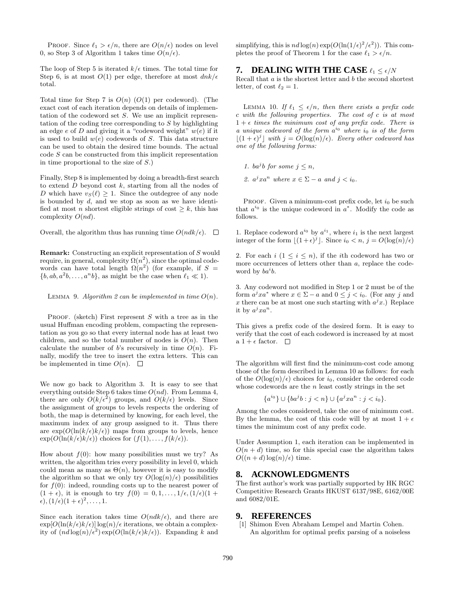PROOF. Since  $\ell_1 > \epsilon/n$ , there are  $O(n/\epsilon)$  nodes on level 0, so Step 3 of Algorithm 1 takes time  $O(n/\epsilon)$ .

The loop of Step 5 is iterated  $k/\epsilon$  times. The total time for Step 6, is at most  $O(1)$  per edge, therefore at most  $dnk/\epsilon$ total.

Total time for Step 7 is  $O(n)$  ( $O(1)$ ) per codeword). (The exact cost of each iteration depends on details of implementation of the codeword set S. We use an implicit representation of the coding tree corresponding to  $S$  by highlighting an edge  $e$  of  $D$  and giving it a "codeword weight"  $w(e)$  if it is used to build  $w(e)$  codewords of S. This data structure can be used to obtain the desired time bounds. The actual code S can be constructed from this implicit representation in time proportional to the size of  $S$ .)

Finally, Step 8 is implemented by doing a breadth-first search to extend  $D$  beyond cost  $k$ , starting from all the nodes of D which have  $v_S(\ell) \geq 1$ . Since the outdegree of any node is bounded by  $d$ , and we stop as soon as we have identified at most *n* shortest eligible strings of cost  $\geq k$ , this has complexity  $O(nd)$ .

Overall, the algorithm thus has running time  $O(ndk/\epsilon)$ .  $\square$ 

**Remark:** Constructing an explicit representation of S would require, in general, complexity  $\Omega(n^2)$ , since the optimal codewords can have total length  $\Omega(n^2)$  (for example, if  $S =$  $\{b, ab, a^2b, \ldots, a^nb\}$ , as might be the case when  $\ell_1 \ll 1$ .

LEMMA 9. Algorithm 2 can be implemented in time  $O(n)$ .

PROOF. (sketch) First represent  $S$  with a tree as in the usual Huffman encoding problem, compacting the representation as you go so that every internal node has at least two children, and so the total number of nodes is  $O(n)$ . Then calculate the number of b's recursively in time  $O(n)$ . Finally, modify the tree to insert the extra letters. This can be implemented in time  $O(n)$ .  $\Box$ 

We now go back to Algorithm 3. It is easy to see that everything outside Step 6 takes time  $O(nd)$ . From Lemma 4, there are only  $O(k/\epsilon^2)$  groups, and  $O(k/\epsilon)$  levels. Since the assignment of groups to levels respects the ordering of both, the map is determined by knowing, for each level, the maximum index of any group assigned to it. Thus there are  $\exp(O(\ln(k/\epsilon)k/\epsilon))$  maps from groups to levels, hence  $\exp(O(\ln(k/\epsilon)k/\epsilon))$  choices for  $(f(1),...,f(k/\epsilon)).$ 

How about  $f(0)$ : how many possibilities must we try? As written, the algorithm tries every possibility in level 0, which could mean as many as  $\Theta(n)$ , however it is easy to modify the algorithm so that we only try  $O(\log(n)/\epsilon)$  possibilities for  $f(0)$ : indeed, rounding costs up to the nearest power of  $(1 + \epsilon)$ , it is enough to try  $f(0) = 0, 1, \ldots, 1/\epsilon, (1/\epsilon)(1 + \epsilon)$  $(\epsilon), (1/\epsilon)(1+\epsilon)^2, \ldots, 1.$ 

Since each iteration takes time  $O(ndk/\epsilon)$ , and there are  $\exp[O(\ln(k/\epsilon)k/\epsilon)] \log(n)/\epsilon$  iterations, we obtain a complexity of  $(nd \log(n)/\epsilon^2) \exp(O(\ln(k/\epsilon)k/\epsilon))$ . Expanding k and simplifying, this is  $nd \log(n) \exp(O(\ln(1/\epsilon)^2/\epsilon^2))$ . This completes the proof of Theorem 1 for the case  $\ell_1 > \epsilon/n$ .

# **7. DEALING WITH THE CASE**  $\ell_1 \leq \epsilon/N$

Recall that  $a$  is the shortest letter and  $b$  the second shortest letter, of cost  $\ell_2 = 1$ .

LEMMA 10. If  $\ell_1 \leq \epsilon/n$ , then there exists a prefix code c with the following properties. The cost of c is at most  $1 + \epsilon$  times the minimum cost of any prefix code. There is a unique codeword of the form  $a^{i_0}$  where  $i_0$  is of the form  $\lfloor (1 + \epsilon)^j \rfloor$  with  $j = O(\log(n)/\epsilon)$ . Every other codeword has one of the following forms:

1. ba<sup>j</sup>b for some  $j \leq n$ ,

2.  $a^j x a^n$  where  $x \in \Sigma - a$  and  $j < i_0$ .

PROOF. Given a minimum-cost prefix code, let  $i_0$  be such that  $a^{i_0}$  is the unique codeword in  $a^*$ . Modify the code as follows.

1. Replace codeword  $a^{i_0}$  by  $a^{i_1}$ , where  $i_1$  is the next largest integer of the form  $\lfloor (1+\epsilon)^j \rfloor$ . Since  $i_0 < n$ ,  $j = O(\log(n)/\epsilon)$ 

2. For each  $i$   $(1 \leq i \leq n)$ , if the *i*th codeword has two or more occurrences of letters other than a, replace the codeword by  $ba^i b$ .

3. Any codeword not modified in Step 1 or 2 must be of the form  $a^jxa^*$  where  $x \in \Sigma - a$  and  $0 \leq j < i_0$ . (For any j and x there can be at most one such starting with  $a^jx$ .) Replace it by  $a^j x a^n$ .

This gives a prefix code of the desired form. It is easy to verify that the cost of each codeword is increased by at most a  $1+\epsilon$  factor.  $\Box$ 

The algorithm will first find the minimum-cost code among those of the form described in Lemma 10 as follows: for each of the  $O(\log(n)/\epsilon)$  choices for  $i_0$ , consider the ordered code whose codewords are the  $n$  least costly strings in the set

$$
\{a^{i_0}\} \cup \{ba^j b : j < n\} \cup \{a^j x a^n : j < i_0\}.
$$

Among the codes considered, take the one of minimum cost. By the lemma, the cost of this code will by at most  $1 + \epsilon$ times the minimum cost of any prefix code.

Under Assumption 1, each iteration can be implemented in  $O(n+d)$  time, so for this special case the algorithm takes  $O((n+d)\log(n)/\epsilon)$  time.

## **8. ACKNOWLEDGMENTS**

The first author's work was partially supported by HK RGC Competitive Research Grants HKUST 6137/98E, 6162/00E and 6082/01E.

### **9. REFERENCES**

[1] Shimon Even Abraham Lempel and Martin Cohen. An algorithm for optimal prefix parsing of a noiseless